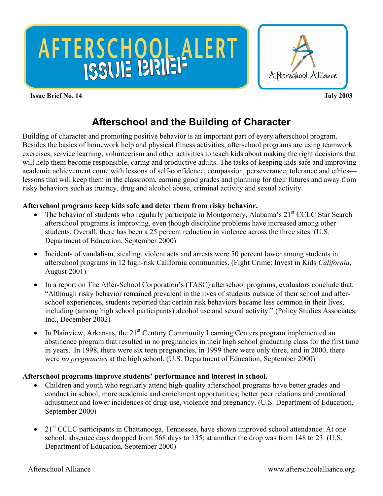# AFTERSCHOOL ALERT



#### **Issue Brief No. 14 July 2003**

# **Afterschool and the Building of Character**

Building of character and promoting positive behavior is an important part of every afterschool program. Besides the basics of homework help and physical fitness activities, afterschool programs are using teamwork exercises, service learning, volunteerism and other activities to teach kids about making the right decisions that will help them become responsible, caring and productive adults. The tasks of keeping kids safe and improving academic achievement come with lessons of self-confidence, compassion, perseverance, tolerance and ethics lessons that will keep them in the classroom, earning good grades and planning for their futures and away from risky behaviors such as truancy, drug and alcohol abuse, criminal activity and sexual activity.

# **Afterschool programs keep kids safe and deter them from risky behavior.**

- The behavior of students who regularly participate in Montgomery, Alabama's  $21<sup>st</sup>$  CCLC Star Search afterschool programs is improving, even though discipline problems have increased among other students. Overall, there has been a 25 percent reduction in violence across the three sites. (U.S. Department of Education, September 2000)
- Incidents of vandalism, stealing, violent acts and arrests were 50 percent lower among students in afterschool programs in 12 high-risk California communities. (Fight Crime: Invest in Kids *California*, August 2001)
- In a report on The After-School Corporation's (TASC) afterschool programs, evaluators conclude that, "Although risky behavior remained prevalent in the lives of students outside of their school and afterschool experiences, students reported that certain risk behaviors became less common in their lives, including (among high school participants) alcohol use and sexual activity." (Policy Studies Associates, Inc., December 2002)
- In Plainview, Arkansas, the  $21<sup>st</sup>$  Century Community Learning Centers program implemented an abstinence program that resulted in no pregnancies in their high school graduating class for the first time in years. In 1998, there were six teen pregnancies, in 1999 there were only three, and in 2000, there were *no pregnancies* at the high school. (U.S. Department of Education, September 2000)

# **Afterschool programs improve students' performance and interest in school.**

- Children and youth who regularly attend high-quality afterschool programs have better grades and conduct in school; more academic and enrichment opportunities; better peer relations and emotional adjustment and lower incidences of drug-use, violence and pregnancy. (U.S. Department of Education, September 2000)
- 21<sup>st</sup> CCLC participants in Chattanooga, Tennessee, have shown improved school attendance. At one school, absentee days dropped from 568 days to 135; at another the drop was from 148 to 23. (U.S. Department of Education, September 2000)